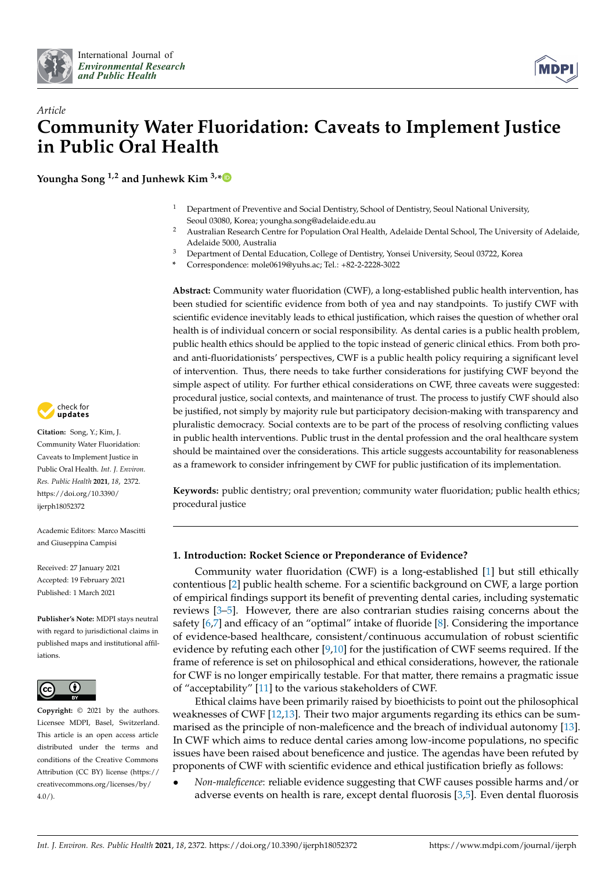



# *Article* **Community Water Fluoridation: Caveats to Implement Justice in Public Oral Health**

**Youngha Song 1,2 and Junhewk Kim 3,[\\*](https://orcid.org/0000-0002-9109-270X)**

- <sup>1</sup> Department of Preventive and Social Dentistry, School of Dentistry, Seoul National University, Seoul 03080, Korea; youngha.song@adelaide.edu.au
- <sup>2</sup> Australian Research Centre for Population Oral Health, Adelaide Dental School, The University of Adelaide, Adelaide 5000, Australia
- <sup>3</sup> Department of Dental Education, College of Dentistry, Yonsei University, Seoul 03722, Korea
- **\*** Correspondence: mole0619@yuhs.ac; Tel.: +82-2-2228-3022

**Abstract:** Community water fluoridation (CWF), a long-established public health intervention, has been studied for scientific evidence from both of yea and nay standpoints. To justify CWF with scientific evidence inevitably leads to ethical justification, which raises the question of whether oral health is of individual concern or social responsibility. As dental caries is a public health problem, public health ethics should be applied to the topic instead of generic clinical ethics. From both proand anti-fluoridationists' perspectives, CWF is a public health policy requiring a significant level of intervention. Thus, there needs to take further considerations for justifying CWF beyond the simple aspect of utility. For further ethical considerations on CWF, three caveats were suggested: procedural justice, social contexts, and maintenance of trust. The process to justify CWF should also be justified, not simply by majority rule but participatory decision-making with transparency and pluralistic democracy. Social contexts are to be part of the process of resolving conflicting values in public health interventions. Public trust in the dental profession and the oral healthcare system should be maintained over the considerations. This article suggests accountability for reasonableness as a framework to consider infringement by CWF for public justification of its implementation.

**Keywords:** public dentistry; oral prevention; community water fluoridation; public health ethics; procedural justice

## **1. Introduction: Rocket Science or Preponderance of Evidence?**

Community water fluoridation (CWF) is a long-established [\[1\]](#page-7-0) but still ethically contentious [\[2\]](#page-7-1) public health scheme. For a scientific background on CWF, a large portion of empirical findings support its benefit of preventing dental caries, including systematic reviews [\[3–](#page-7-2)[5\]](#page-7-3). However, there are also contrarian studies raising concerns about the safety [\[6](#page-7-4)[,7\]](#page-7-5) and efficacy of an "optimal" intake of fluoride [\[8\]](#page-7-6). Considering the importance of evidence-based healthcare, consistent/continuous accumulation of robust scientific evidence by refuting each other  $[9,10]$  $[9,10]$  for the justification of CWF seems required. If the frame of reference is set on philosophical and ethical considerations, however, the rationale for CWF is no longer empirically testable. For that matter, there remains a pragmatic issue of "acceptability" [\[11\]](#page-7-9) to the various stakeholders of CWF.

Ethical claims have been primarily raised by bioethicists to point out the philosophical weaknesses of CWF [\[12](#page-7-10)[,13\]](#page-7-11). Their two major arguments regarding its ethics can be summarised as the principle of non-maleficence and the breach of individual autonomy [\[13\]](#page-7-11). In CWF which aims to reduce dental caries among low-income populations, no specific issues have been raised about beneficence and justice. The agendas have been refuted by proponents of CWF with scientific evidence and ethical justification briefly as follows:

• *Non-maleficence*: reliable evidence suggesting that CWF causes possible harms and/or adverse events on health is rare, except dental fluorosis [\[3](#page-7-2)[,5\]](#page-7-3). Even dental fluorosis



**Citation:** Song, Y.; Kim, J. Community Water Fluoridation: Caveats to Implement Justice in Public Oral Health. *Int. J. Environ. Res. Public Health* **2021**, *18*, 2372. [https://doi.org/10.3390/](https://doi.org/10.3390/ijerph18052372) [ijerph18052372](https://doi.org/10.3390/ijerph18052372)

Academic Editors: Marco Mascitti and Giuseppina Campisi

Received: 27 January 2021 Accepted: 19 February 2021 Published: 1 March 2021

**Publisher's Note:** MDPI stays neutral with regard to jurisdictional claims in published maps and institutional affiliations.



**Copyright:** © 2021 by the authors. Licensee MDPI, Basel, Switzerland. This article is an open access article distributed under the terms and conditions of the Creative Commons Attribution (CC BY) license (https:/[/](https://creativecommons.org/licenses/by/4.0/) [creativecommons.org/licenses/by/](https://creativecommons.org/licenses/by/4.0/)  $4.0/$ ).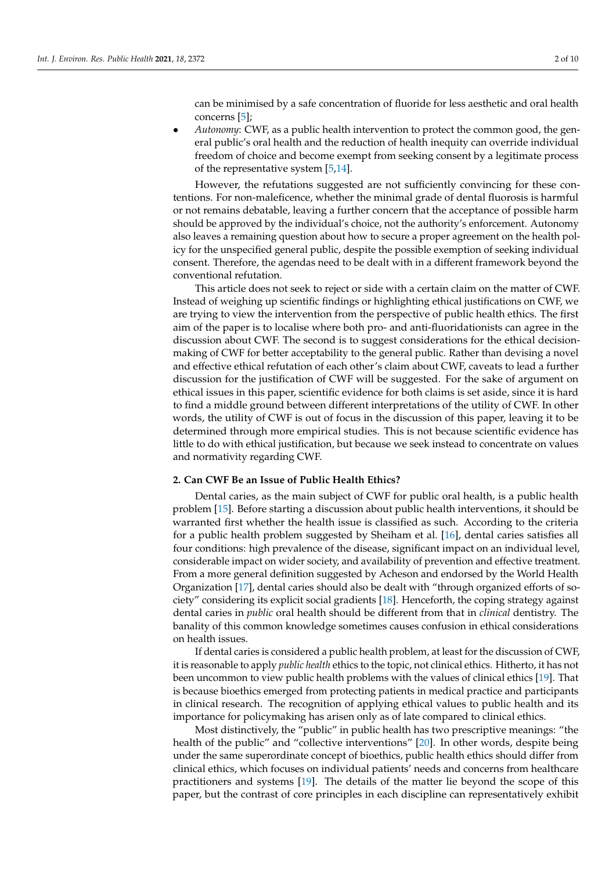can be minimised by a safe concentration of fluoride for less aesthetic and oral health concerns [\[5\]](#page-7-3);

• *Autonomy*: CWF, as a public health intervention to protect the common good, the general public's oral health and the reduction of health inequity can override individual freedom of choice and become exempt from seeking consent by a legitimate process of the representative system [\[5,](#page-7-3)[14\]](#page-8-0).

However, the refutations suggested are not sufficiently convincing for these contentions. For non-maleficence, whether the minimal grade of dental fluorosis is harmful or not remains debatable, leaving a further concern that the acceptance of possible harm should be approved by the individual's choice, not the authority's enforcement. Autonomy also leaves a remaining question about how to secure a proper agreement on the health policy for the unspecified general public, despite the possible exemption of seeking individual consent. Therefore, the agendas need to be dealt with in a different framework beyond the conventional refutation.

This article does not seek to reject or side with a certain claim on the matter of CWF. Instead of weighing up scientific findings or highlighting ethical justifications on CWF, we are trying to view the intervention from the perspective of public health ethics. The first aim of the paper is to localise where both pro- and anti-fluoridationists can agree in the discussion about CWF. The second is to suggest considerations for the ethical decisionmaking of CWF for better acceptability to the general public. Rather than devising a novel and effective ethical refutation of each other's claim about CWF, caveats to lead a further discussion for the justification of CWF will be suggested. For the sake of argument on ethical issues in this paper, scientific evidence for both claims is set aside, since it is hard to find a middle ground between different interpretations of the utility of CWF. In other words, the utility of CWF is out of focus in the discussion of this paper, leaving it to be determined through more empirical studies. This is not because scientific evidence has little to do with ethical justification, but because we seek instead to concentrate on values and normativity regarding CWF.

#### **2. Can CWF Be an Issue of Public Health Ethics?**

Dental caries, as the main subject of CWF for public oral health, is a public health problem [\[15\]](#page-8-1). Before starting a discussion about public health interventions, it should be warranted first whether the health issue is classified as such. According to the criteria for a public health problem suggested by Sheiham et al. [\[16\]](#page-8-2), dental caries satisfies all four conditions: high prevalence of the disease, significant impact on an individual level, considerable impact on wider society, and availability of prevention and effective treatment. From a more general definition suggested by Acheson and endorsed by the World Health Organization [\[17\]](#page-8-3), dental caries should also be dealt with "through organized efforts of society" considering its explicit social gradients [\[18\]](#page-8-4). Henceforth, the coping strategy against dental caries in *public* oral health should be different from that in *clinical* dentistry. The banality of this common knowledge sometimes causes confusion in ethical considerations on health issues.

If dental caries is considered a public health problem, at least for the discussion of CWF, it is reasonable to apply *public health* ethics to the topic, not clinical ethics. Hitherto, it has not been uncommon to view public health problems with the values of clinical ethics [\[19\]](#page-8-5). That is because bioethics emerged from protecting patients in medical practice and participants in clinical research. The recognition of applying ethical values to public health and its importance for policymaking has arisen only as of late compared to clinical ethics.

Most distinctively, the "public" in public health has two prescriptive meanings: "the health of the public" and "collective interventions" [\[20\]](#page-8-6). In other words, despite being under the same superordinate concept of bioethics, public health ethics should differ from clinical ethics, which focuses on individual patients' needs and concerns from healthcare practitioners and systems [\[19\]](#page-8-5). The details of the matter lie beyond the scope of this paper, but the contrast of core principles in each discipline can representatively exhibit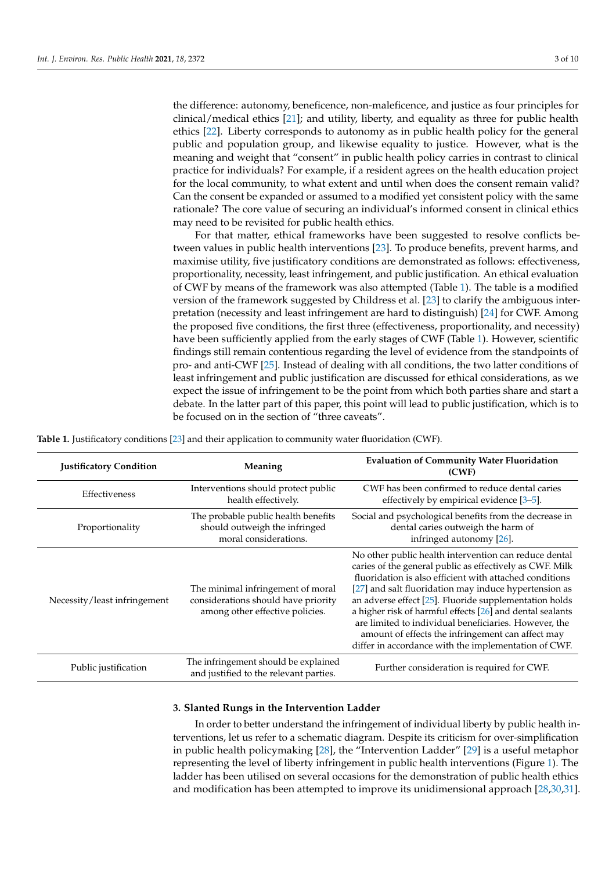the difference: autonomy, beneficence, non-maleficence, and justice as four principles for clinical/medical ethics [\[21\]](#page-8-7); and utility, liberty, and equality as three for public health ethics [\[22\]](#page-8-8). Liberty corresponds to autonomy as in public health policy for the general public and population group, and likewise equality to justice. However, what is the meaning and weight that "consent" in public health policy carries in contrast to clinical practice for individuals? For example, if a resident agrees on the health education project for the local community, to what extent and until when does the consent remain valid? Can the consent be expanded or assumed to a modified yet consistent policy with the same rationale? The core value of securing an individual's informed consent in clinical ethics may need to be revisited for public health ethics.

For that matter, ethical frameworks have been suggested to resolve conflicts between values in public health interventions [\[23\]](#page-8-9). To produce benefits, prevent harms, and maximise utility, five justificatory conditions are demonstrated as follows: effectiveness, proportionality, necessity, least infringement, and public justification. An ethical evaluation of CWF by means of the framework was also attempted (Table [1\)](#page-2-0). The table is a modified version of the framework suggested by Childress et al. [\[23\]](#page-8-9) to clarify the ambiguous interpretation (necessity and least infringement are hard to distinguish) [\[24\]](#page-8-10) for CWF. Among the proposed five conditions, the first three (effectiveness, proportionality, and necessity) have been sufficiently applied from the early stages of CWF (Table [1\)](#page-2-0). However, scientific findings still remain contentious regarding the level of evidence from the standpoints of pro- and anti-CWF [\[25\]](#page-8-11). Instead of dealing with all conditions, the two latter conditions of least infringement and public justification are discussed for ethical considerations, as we expect the issue of infringement to be the point from which both parties share and start a debate. In the latter part of this paper, this point will lead to public justification, which is to be focused on in the section of "three caveats".

<span id="page-2-0"></span>

|  |  | Table 1. Justificatory conditions [23] and their application to community water fluoridation (CWF). |  |  |
|--|--|-----------------------------------------------------------------------------------------------------|--|--|
|--|--|-----------------------------------------------------------------------------------------------------|--|--|

| <b>Justificatory Condition</b> | Meaning                                                                                                     | <b>Evaluation of Community Water Fluoridation</b><br>(CWF)                                                                                                                                                                                                                                                                                                                                                                                                                                                                         |
|--------------------------------|-------------------------------------------------------------------------------------------------------------|------------------------------------------------------------------------------------------------------------------------------------------------------------------------------------------------------------------------------------------------------------------------------------------------------------------------------------------------------------------------------------------------------------------------------------------------------------------------------------------------------------------------------------|
| <b>Effectiveness</b>           | Interventions should protect public<br>health effectively.                                                  | CWF has been confirmed to reduce dental caries<br>effectively by empirical evidence $[3-5]$ .                                                                                                                                                                                                                                                                                                                                                                                                                                      |
| Proportionality                | The probable public health benefits<br>should outweigh the infringed<br>moral considerations.               | Social and psychological benefits from the decrease in<br>dental caries outweigh the harm of<br>infringed autonomy [26].                                                                                                                                                                                                                                                                                                                                                                                                           |
| Necessity/least infringement   | The minimal infringement of moral<br>considerations should have priority<br>among other effective policies. | No other public health intervention can reduce dental<br>caries of the general public as effectively as CWF. Milk<br>fluoridation is also efficient with attached conditions<br>[27] and salt fluoridation may induce hypertension as<br>an adverse effect [25]. Fluoride supplementation holds<br>a higher risk of harmful effects [26] and dental sealants<br>are limited to individual beneficiaries. However, the<br>amount of effects the infringement can affect may<br>differ in accordance with the implementation of CWF. |
| Public justification           | The infringement should be explained<br>and justified to the relevant parties.                              | Further consideration is required for CWF.                                                                                                                                                                                                                                                                                                                                                                                                                                                                                         |

#### **3. Slanted Rungs in the Intervention Ladder**

In order to better understand the infringement of individual liberty by public health interventions, let us refer to a schematic diagram. Despite its criticism for over-simplification in public health policymaking [\[28\]](#page-8-14), the "Intervention Ladder" [\[29\]](#page-8-15) is a useful metaphor representing the level of liberty infringement in public health interventions (Figure [1\)](#page-3-0). The ladder has been utilised on several occasions for the demonstration of public health ethics and modification has been attempted to improve its unidimensional approach [\[28,](#page-8-14)[30,](#page-8-16)[31\]](#page-8-17).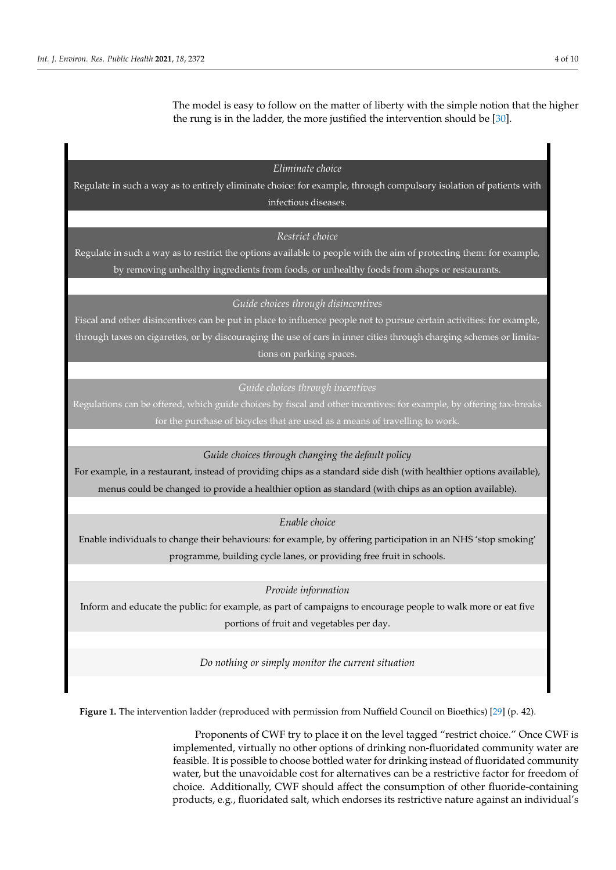The model is easy to follow on the matter of liberty with the simple notion that the higher The model is easy to follow on the matter of liberty with the simple notion that the higher the rung is in the ladder, the more justified the intervention should be [\[30\]](#page-8-16). the higher the rung is in the ladder, the more justified the intervention should be [30].

phor representing the level of liberty infringement in public health interventions (Figure

*Eliminate choice* 

<span id="page-3-0"></span>Regulate in such a way as to entirely eliminate choice: for example, through compulsory isolation of patients with infectious diseases.

# *Restrict choice*

Regulate in such a way as to restrict the options available to people with the aim of protecting them: for example, by removing unhealthy ingredients from foods, or unhealthy foods from shops or restaurants.

*Guide choices through disincentives* 

Fiscal and other disincentives can be put in place to influence people not to pursue certain activities: for example, through taxes on cigarettes, or by discouraging the use of cars in inner cities through charging schemes or limitations on parking spaces.

Regulations can be offered, which guide choices by fiscal and other incentives: for example, by offering tax-breaks for the purchase of bicycles that are used as a means of travelling to work.

*Guide choices through changing the default policy* 

For example, in a restaurant, instead of providing chips as a standard side dish (with healthier options available), menus could be changed to provide a healthier option as standard (with chips as an option available).

*Enable choice* 

Enable individuals to change their behaviours: for example, by offering participation in an NHS 'stop smoking' programme, building cycle lanes, or providing free fruit in schools.

*Provide information* 

Inform and educate the public: for example, as part of campaigns to encourage people to walk more or eat five portions of fruit and vegetables per day.

*Do nothing or simply monitor the current situation* 

Figure 1. The intervention ladder (reproduced with permission from Nuffield Council on Bioethics) [\[29\]](#page-8-15) (p. 42).

Proponents of CWF try to place it on the level tagged "restrict choice." Once CWF is implemented, virtually no other options of drinking non-fluoridated community water are feasible. It is possible to choose bottled water for drinking instead of fluoridated community water, but the unavoidable cost for alternatives can be a restrictive factor for freedom of choice. Additionally, CWF should affect the consumption of other fluoride-containing products, e.g., fluoridated salt, which endorses its restrictive nature against an individual's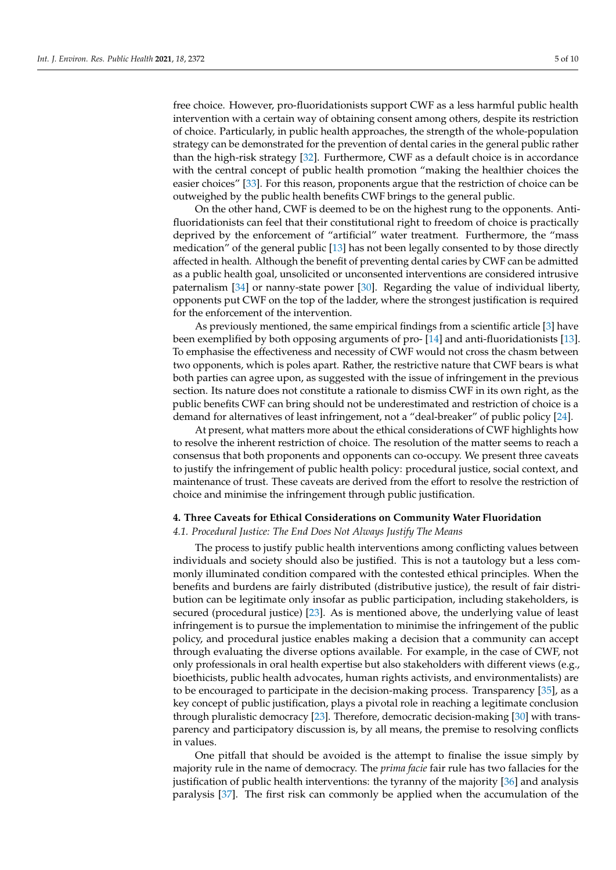free choice. However, pro-fluoridationists support CWF as a less harmful public health intervention with a certain way of obtaining consent among others, despite its restriction of choice. Particularly, in public health approaches, the strength of the whole-population strategy can be demonstrated for the prevention of dental caries in the general public rather than the high-risk strategy [\[32\]](#page-8-18). Furthermore, CWF as a default choice is in accordance with the central concept of public health promotion "making the healthier choices the easier choices" [\[33\]](#page-8-19). For this reason, proponents argue that the restriction of choice can be outweighed by the public health benefits CWF brings to the general public.

On the other hand, CWF is deemed to be on the highest rung to the opponents. Antifluoridationists can feel that their constitutional right to freedom of choice is practically deprived by the enforcement of "artificial" water treatment. Furthermore, the "mass medication" of the general public [\[13\]](#page-7-11) has not been legally consented to by those directly affected in health. Although the benefit of preventing dental caries by CWF can be admitted as a public health goal, unsolicited or unconsented interventions are considered intrusive paternalism [\[34\]](#page-8-20) or nanny-state power [\[30\]](#page-8-16). Regarding the value of individual liberty, opponents put CWF on the top of the ladder, where the strongest justification is required for the enforcement of the intervention.

As previously mentioned, the same empirical findings from a scientific article [\[3\]](#page-7-2) have been exemplified by both opposing arguments of pro- [\[14\]](#page-8-0) and anti-fluoridationists [\[13\]](#page-7-11). To emphasise the effectiveness and necessity of CWF would not cross the chasm between two opponents, which is poles apart. Rather, the restrictive nature that CWF bears is what both parties can agree upon, as suggested with the issue of infringement in the previous section. Its nature does not constitute a rationale to dismiss CWF in its own right, as the public benefits CWF can bring should not be underestimated and restriction of choice is a demand for alternatives of least infringement, not a "deal-breaker" of public policy [\[24\]](#page-8-10).

At present, what matters more about the ethical considerations of CWF highlights how to resolve the inherent restriction of choice. The resolution of the matter seems to reach a consensus that both proponents and opponents can co-occupy. We present three caveats to justify the infringement of public health policy: procedural justice, social context, and maintenance of trust. These caveats are derived from the effort to resolve the restriction of choice and minimise the infringement through public justification.

#### **4. Three Caveats for Ethical Considerations on Community Water Fluoridation**

#### *4.1. Procedural Justice: The End Does Not Always Justify The Means*

The process to justify public health interventions among conflicting values between individuals and society should also be justified. This is not a tautology but a less commonly illuminated condition compared with the contested ethical principles. When the benefits and burdens are fairly distributed (distributive justice), the result of fair distribution can be legitimate only insofar as public participation, including stakeholders, is secured (procedural justice) [\[23\]](#page-8-9). As is mentioned above, the underlying value of least infringement is to pursue the implementation to minimise the infringement of the public policy, and procedural justice enables making a decision that a community can accept through evaluating the diverse options available. For example, in the case of CWF, not only professionals in oral health expertise but also stakeholders with different views (e.g., bioethicists, public health advocates, human rights activists, and environmentalists) are to be encouraged to participate in the decision-making process. Transparency [\[35\]](#page-8-21), as a key concept of public justification, plays a pivotal role in reaching a legitimate conclusion through pluralistic democracy [\[23\]](#page-8-9). Therefore, democratic decision-making [\[30\]](#page-8-16) with transparency and participatory discussion is, by all means, the premise to resolving conflicts in values.

One pitfall that should be avoided is the attempt to finalise the issue simply by majority rule in the name of democracy. The *prima facie* fair rule has two fallacies for the justification of public health interventions: the tyranny of the majority [\[36\]](#page-8-22) and analysis paralysis [\[37\]](#page-8-23). The first risk can commonly be applied when the accumulation of the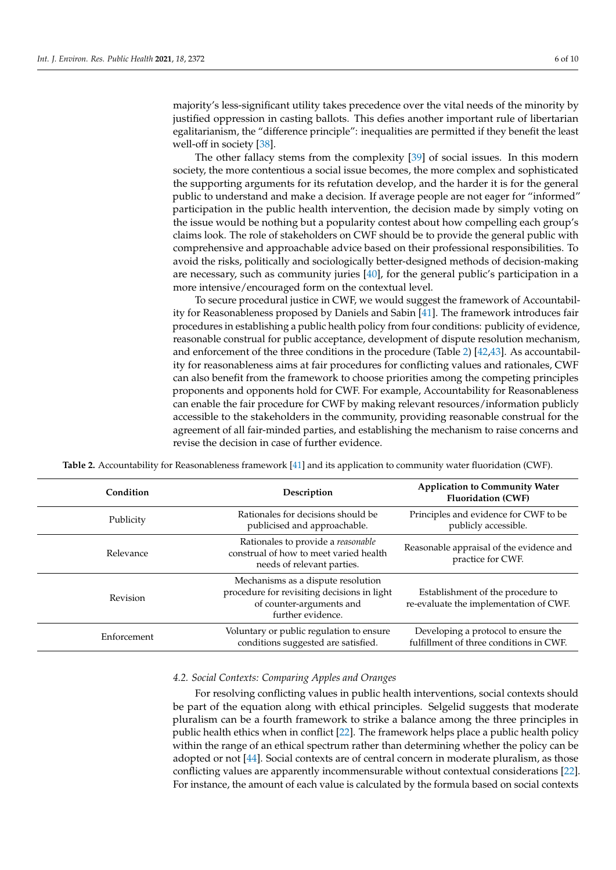majority's less-significant utility takes precedence over the vital needs of the minority by justified oppression in casting ballots. This defies another important rule of libertarian egalitarianism, the "difference principle": inequalities are permitted if they benefit the least well-off in society [\[38\]](#page-8-24).

The other fallacy stems from the complexity [\[39\]](#page-8-25) of social issues. In this modern society, the more contentious a social issue becomes, the more complex and sophisticated the supporting arguments for its refutation develop, and the harder it is for the general public to understand and make a decision. If average people are not eager for "informed" participation in the public health intervention, the decision made by simply voting on the issue would be nothing but a popularity contest about how compelling each group's claims look. The role of stakeholders on CWF should be to provide the general public with comprehensive and approachable advice based on their professional responsibilities. To avoid the risks, politically and sociologically better-designed methods of decision-making are necessary, such as community juries [\[40\]](#page-8-26), for the general public's participation in a more intensive/encouraged form on the contextual level.

To secure procedural justice in CWF, we would suggest the framework of Accountability for Reasonableness proposed by Daniels and Sabin [\[41\]](#page-8-27). The framework introduces fair procedures in establishing a public health policy from four conditions: publicity of evidence, reasonable construal for public acceptance, development of dispute resolution mechanism, and enforcement of the three conditions in the procedure (Table [2\)](#page-5-0) [\[42,](#page-8-28)[43\]](#page-8-29). As accountability for reasonableness aims at fair procedures for conflicting values and rationales, CWF can also benefit from the framework to choose priorities among the competing principles proponents and opponents hold for CWF. For example, Accountability for Reasonableness can enable the fair procedure for CWF by making relevant resources/information publicly accessible to the stakeholders in the community, providing reasonable construal for the agreement of all fair-minded parties, and establishing the mechanism to raise concerns and revise the decision in case of further evidence.

<span id="page-5-0"></span>

| Condition   | Description                                                                                                                        | <b>Application to Community Water</b><br><b>Fluoridation (CWF)</b>             |
|-------------|------------------------------------------------------------------------------------------------------------------------------------|--------------------------------------------------------------------------------|
| Publicity   | Rationales for decisions should be<br>publicised and approachable.                                                                 | Principles and evidence for CWF to be<br>publicly accessible.                  |
| Relevance   | Rationales to provide a reasonable<br>construal of how to meet varied health<br>needs of relevant parties.                         | Reasonable appraisal of the evidence and<br>practice for CWF.                  |
| Revision    | Mechanisms as a dispute resolution<br>procedure for revisiting decisions in light<br>of counter-arguments and<br>further evidence. | Establishment of the procedure to<br>re-evaluate the implementation of CWF.    |
| Enforcement | Voluntary or public regulation to ensure<br>conditions suggested are satisfied.                                                    | Developing a protocol to ensure the<br>fulfillment of three conditions in CWF. |

**Table 2.** Accountability for Reasonableness framework [\[41\]](#page-8-27) and its application to community water fluoridation (CWF).

#### *4.2. Social Contexts: Comparing Apples and Oranges*

For resolving conflicting values in public health interventions, social contexts should be part of the equation along with ethical principles. Selgelid suggests that moderate pluralism can be a fourth framework to strike a balance among the three principles in public health ethics when in conflict [\[22\]](#page-8-8). The framework helps place a public health policy within the range of an ethical spectrum rather than determining whether the policy can be adopted or not [\[44\]](#page-8-30). Social contexts are of central concern in moderate pluralism, as those conflicting values are apparently incommensurable without contextual considerations [\[22\]](#page-8-8). For instance, the amount of each value is calculated by the formula based on social contexts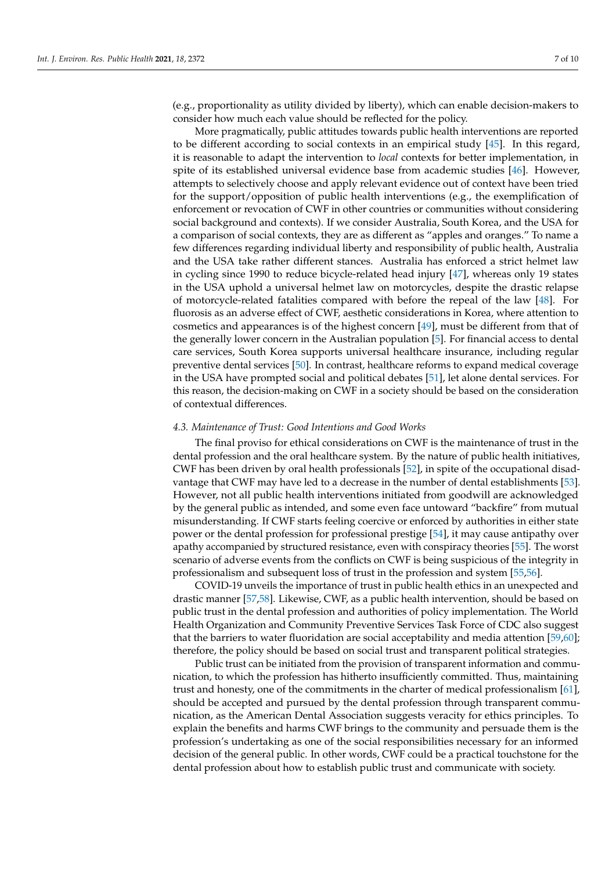(e.g., proportionality as utility divided by liberty), which can enable decision-makers to consider how much each value should be reflected for the policy.

More pragmatically, public attitudes towards public health interventions are reported to be different according to social contexts in an empirical study [\[45\]](#page-8-31). In this regard, it is reasonable to adapt the intervention to *local* contexts for better implementation, in spite of its established universal evidence base from academic studies [\[46\]](#page-8-32). However, attempts to selectively choose and apply relevant evidence out of context have been tried for the support/opposition of public health interventions (e.g., the exemplification of enforcement or revocation of CWF in other countries or communities without considering social background and contexts). If we consider Australia, South Korea, and the USA for a comparison of social contexts, they are as different as "apples and oranges." To name a few differences regarding individual liberty and responsibility of public health, Australia and the USA take rather different stances. Australia has enforced a strict helmet law in cycling since 1990 to reduce bicycle-related head injury [\[47\]](#page-8-33), whereas only 19 states in the USA uphold a universal helmet law on motorcycles, despite the drastic relapse of motorcycle-related fatalities compared with before the repeal of the law [\[48\]](#page-8-34). For fluorosis as an adverse effect of CWF, aesthetic considerations in Korea, where attention to cosmetics and appearances is of the highest concern [\[49\]](#page-9-0), must be different from that of the generally lower concern in the Australian population [\[5\]](#page-7-3). For financial access to dental care services, South Korea supports universal healthcare insurance, including regular preventive dental services [\[50\]](#page-9-1). In contrast, healthcare reforms to expand medical coverage in the USA have prompted social and political debates [\[51\]](#page-9-2), let alone dental services. For this reason, the decision-making on CWF in a society should be based on the consideration of contextual differences.

## *4.3. Maintenance of Trust: Good Intentions and Good Works*

The final proviso for ethical considerations on CWF is the maintenance of trust in the dental profession and the oral healthcare system. By the nature of public health initiatives, CWF has been driven by oral health professionals [\[52\]](#page-9-3), in spite of the occupational disadvantage that CWF may have led to a decrease in the number of dental establishments [\[53\]](#page-9-4). However, not all public health interventions initiated from goodwill are acknowledged by the general public as intended, and some even face untoward "backfire" from mutual misunderstanding. If CWF starts feeling coercive or enforced by authorities in either state power or the dental profession for professional prestige [\[54\]](#page-9-5), it may cause antipathy over apathy accompanied by structured resistance, even with conspiracy theories [\[55\]](#page-9-6). The worst scenario of adverse events from the conflicts on CWF is being suspicious of the integrity in professionalism and subsequent loss of trust in the profession and system [\[55](#page-9-6)[,56\]](#page-9-7).

COVID-19 unveils the importance of trust in public health ethics in an unexpected and drastic manner [\[57,](#page-9-8)[58\]](#page-9-9). Likewise, CWF, as a public health intervention, should be based on public trust in the dental profession and authorities of policy implementation. The World Health Organization and Community Preventive Services Task Force of CDC also suggest that the barriers to water fluoridation are social acceptability and media attention [\[59,](#page-9-10)[60\]](#page-9-11); therefore, the policy should be based on social trust and transparent political strategies.

Public trust can be initiated from the provision of transparent information and communication, to which the profession has hitherto insufficiently committed. Thus, maintaining trust and honesty, one of the commitments in the charter of medical professionalism [\[61\]](#page-9-12), should be accepted and pursued by the dental profession through transparent communication, as the American Dental Association suggests veracity for ethics principles. To explain the benefits and harms CWF brings to the community and persuade them is the profession's undertaking as one of the social responsibilities necessary for an informed decision of the general public. In other words, CWF could be a practical touchstone for the dental profession about how to establish public trust and communicate with society.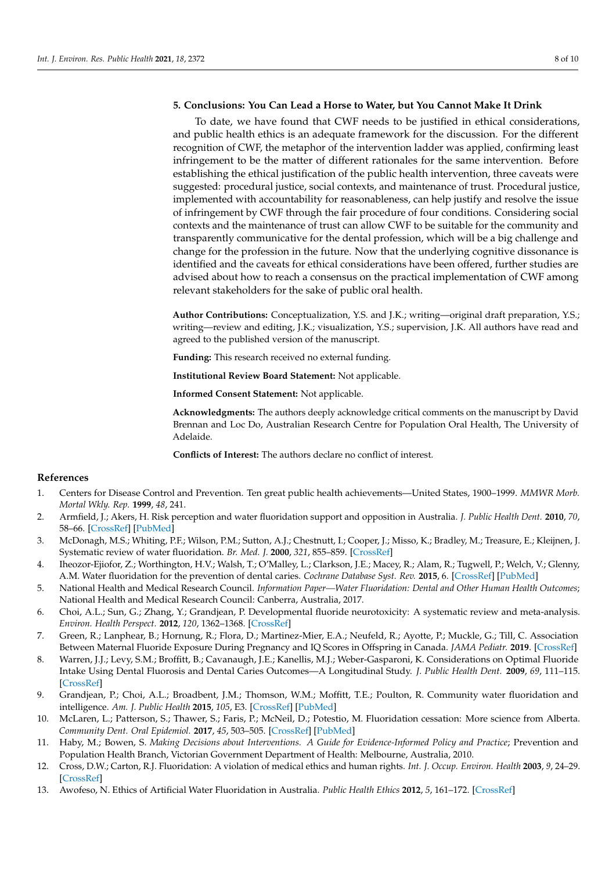# **5. Conclusions: You Can Lead a Horse to Water, but You Cannot Make It Drink**

To date, we have found that CWF needs to be justified in ethical considerations, and public health ethics is an adequate framework for the discussion. For the different recognition of CWF, the metaphor of the intervention ladder was applied, confirming least infringement to be the matter of different rationales for the same intervention. Before establishing the ethical justification of the public health intervention, three caveats were suggested: procedural justice, social contexts, and maintenance of trust. Procedural justice, implemented with accountability for reasonableness, can help justify and resolve the issue of infringement by CWF through the fair procedure of four conditions. Considering social contexts and the maintenance of trust can allow CWF to be suitable for the community and transparently communicative for the dental profession, which will be a big challenge and change for the profession in the future. Now that the underlying cognitive dissonance is identified and the caveats for ethical considerations have been offered, further studies are advised about how to reach a consensus on the practical implementation of CWF among relevant stakeholders for the sake of public oral health.

**Author Contributions:** Conceptualization, Y.S. and J.K.; writing—original draft preparation, Y.S.; writing—review and editing, J.K.; visualization, Y.S.; supervision, J.K. All authors have read and agreed to the published version of the manuscript.

**Funding:** This research received no external funding.

**Institutional Review Board Statement:** Not applicable.

**Informed Consent Statement:** Not applicable.

**Acknowledgments:** The authors deeply acknowledge critical comments on the manuscript by David Brennan and Loc Do, Australian Research Centre for Population Oral Health, The University of Adelaide.

**Conflicts of Interest:** The authors declare no conflict of interest.

### **References**

- <span id="page-7-0"></span>1. Centers for Disease Control and Prevention. Ten great public health achievements—United States, 1900–1999. *MMWR Morb. Mortal Wkly. Rep.* **1999**, *48*, 241.
- <span id="page-7-1"></span>2. Armfield, J.; Akers, H. Risk perception and water fluoridation support and opposition in Australia. *J. Public Health Dent.* **2010**, *70*, 58–66. [\[CrossRef\]](http://doi.org/10.1111/j.1752-7325.2009.00144.x) [\[PubMed\]](http://www.ncbi.nlm.nih.gov/pubmed/19694932)
- <span id="page-7-2"></span>3. McDonagh, M.S.; Whiting, P.F.; Wilson, P.M.; Sutton, A.J.; Chestnutt, I.; Cooper, J.; Misso, K.; Bradley, M.; Treasure, E.; Kleijnen, J. Systematic review of water fluoridation. *Br. Med. J.* **2000**, *321*, 855–859. [\[CrossRef\]](http://doi.org/10.1136/bmj.321.7265.855)
- 4. Iheozor-Ejiofor, Z.; Worthington, H.V.; Walsh, T.; O'Malley, L.; Clarkson, J.E.; Macey, R.; Alam, R.; Tugwell, P.; Welch, V.; Glenny, A.M. Water fluoridation for the prevention of dental caries. *Cochrane Database Syst. Rev.* **2015**, 6. [\[CrossRef\]](http://doi.org/10.1002/14651858.CD010856.pub2) [\[PubMed\]](http://www.ncbi.nlm.nih.gov/pubmed/26092033)
- <span id="page-7-3"></span>5. National Health and Medical Research Council. *Information Paper—Water Fluoridation: Dental and Other Human Health Outcomes*; National Health and Medical Research Council: Canberra, Australia, 2017.
- <span id="page-7-4"></span>6. Choi, A.L.; Sun, G.; Zhang, Y.; Grandjean, P. Developmental fluoride neurotoxicity: A systematic review and meta-analysis. *Environ. Health Perspect.* **2012**, *120*, 1362–1368. [\[CrossRef\]](http://doi.org/10.1289/ehp.1104912)
- <span id="page-7-5"></span>7. Green, R.; Lanphear, B.; Hornung, R.; Flora, D.; Martinez-Mier, E.A.; Neufeld, R.; Ayotte, P.; Muckle, G.; Till, C. Association Between Maternal Fluoride Exposure During Pregnancy and IQ Scores in Offspring in Canada. *JAMA Pediatr.* **2019**. [\[CrossRef\]](http://doi.org/10.1001/jamapediatrics.2019.1729)
- <span id="page-7-6"></span>8. Warren, J.J.; Levy, S.M.; Broffitt, B.; Cavanaugh, J.E.; Kanellis, M.J.; Weber-Gasparoni, K. Considerations on Optimal Fluoride Intake Using Dental Fluorosis and Dental Caries Outcomes—A Longitudinal Study. *J. Public Health Dent.* **2009**, *69*, 111–115. [\[CrossRef\]](http://doi.org/10.1111/j.1752-7325.2008.00108.x)
- <span id="page-7-7"></span>9. Grandjean, P.; Choi, A.L.; Broadbent, J.M.; Thomson, W.M.; Moffitt, T.E.; Poulton, R. Community water fluoridation and intelligence. *Am. J. Public Health* **2015**, *105*, E3. [\[CrossRef\]](http://doi.org/10.2105/AJPH.2014.302532) [\[PubMed\]](http://www.ncbi.nlm.nih.gov/pubmed/25713954)
- <span id="page-7-8"></span>10. McLaren, L.; Patterson, S.; Thawer, S.; Faris, P.; McNeil, D.; Potestio, M. Fluoridation cessation: More science from Alberta. *Community Dent. Oral Epidemiol.* **2017**, *45*, 503–505. [\[CrossRef\]](http://doi.org/10.1111/cdoe.12346) [\[PubMed\]](http://www.ncbi.nlm.nih.gov/pubmed/28994455)
- <span id="page-7-9"></span>11. Haby, M.; Bowen, S. *Making Decisions about Interventions. A Guide for Evidence-Informed Policy and Practice*; Prevention and Population Health Branch, Victorian Government Department of Health: Melbourne, Australia, 2010.
- <span id="page-7-10"></span>12. Cross, D.W.; Carton, R.J. Fluoridation: A violation of medical ethics and human rights. *Int. J. Occup. Environ. Health* **2003**, *9*, 24–29. [\[CrossRef\]](http://doi.org/10.1179/oeh.2003.9.1.24)
- <span id="page-7-11"></span>13. Awofeso, N. Ethics of Artificial Water Fluoridation in Australia. *Public Health Ethics* **2012**, *5*, 161–172. [\[CrossRef\]](http://doi.org/10.1093/phe/phs016)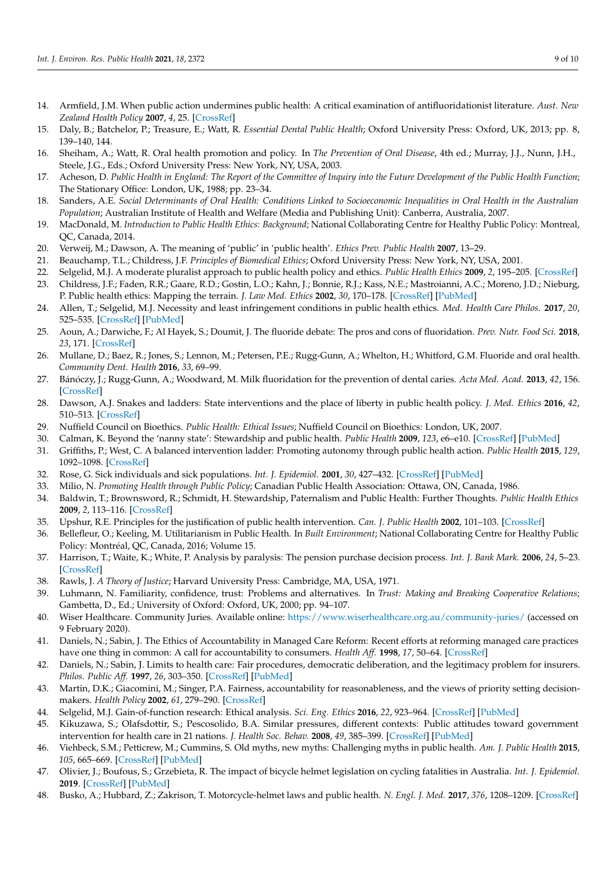- <span id="page-8-0"></span>14. Armfield, J.M. When public action undermines public health: A critical examination of antifluoridationist literature. *Aust. New Zealand Health Policy* **2007**, *4*, 25. [\[CrossRef\]](http://doi.org/10.1186/1743-8462-4-25)
- <span id="page-8-1"></span>15. Daly, B.; Batchelor, P.; Treasure, E.; Watt, R. *Essential Dental Public Health*; Oxford University Press: Oxford, UK, 2013; pp. 8, 139–140, 144.
- <span id="page-8-2"></span>16. Sheiham, A.; Watt, R. Oral health promotion and policy. In *The Prevention of Oral Disease*, 4th ed.; Murray, J.J., Nunn, J.H., Steele, J.G., Eds.; Oxford University Press: New York, NY, USA, 2003.
- <span id="page-8-3"></span>17. Acheson, D. *Public Health in England: The Report of the Committee of Inquiry into the Future Development of the Public Health Function*; The Stationary Office: London, UK, 1988; pp. 23–34.
- <span id="page-8-4"></span>18. Sanders, A.E. *Social Determinants of Oral Health: Conditions Linked to Socioeconomic Inequalities in Oral Health in the Australian Population*; Australian Institute of Health and Welfare (Media and Publishing Unit): Canberra, Australia, 2007.
- <span id="page-8-5"></span>19. MacDonald, M. *Introduction to Public Health Ethics: Background*; National Collaborating Centre for Healthy Public Policy: Montreal, QC, Canada, 2014.
- <span id="page-8-6"></span>20. Verweij, M.; Dawson, A. The meaning of 'public' in 'public health'. *Ethics Prev. Public Health* **2007**, 13–29.
- <span id="page-8-7"></span>21. Beauchamp, T.L.; Childress, J.F. *Principles of Biomedical Ethics*; Oxford University Press: New York, NY, USA, 2001.
- <span id="page-8-8"></span>22. Selgelid, M.J. A moderate pluralist approach to public health policy and ethics. *Public Health Ethics* **2009**, *2*, 195–205. [\[CrossRef\]](http://doi.org/10.1093/phe/php018)
- <span id="page-8-9"></span>23. Childress, J.F.; Faden, R.R.; Gaare, R.D.; Gostin, L.O.; Kahn, J.; Bonnie, R.J.; Kass, N.E.; Mastroianni, A.C.; Moreno, J.D.; Nieburg, P. Public health ethics: Mapping the terrain. *J. Law Med. Ethics* **2002**, *30*, 170–178. [\[CrossRef\]](http://doi.org/10.1111/j.1748-720X.2002.tb00384.x) [\[PubMed\]](http://www.ncbi.nlm.nih.gov/pubmed/12066595)
- <span id="page-8-10"></span>24. Allen, T.; Selgelid, M.J. Necessity and least infringement conditions in public health ethics. *Med. Health Care Philos.* **2017**, *20*, 525–535. [\[CrossRef\]](http://doi.org/10.1007/s11019-017-9775-0) [\[PubMed\]](http://www.ncbi.nlm.nih.gov/pubmed/28456925)
- <span id="page-8-11"></span>25. Aoun, A.; Darwiche, F.; Al Hayek, S.; Doumit, J. The fluoride debate: The pros and cons of fluoridation. *Prev. Nutr. Food Sci.* **2018**, *23*, 171. [\[CrossRef\]](http://doi.org/10.3746/pnf.2018.23.3.171)
- <span id="page-8-12"></span>26. Mullane, D.; Baez, R.; Jones, S.; Lennon, M.; Petersen, P.E.; Rugg-Gunn, A.; Whelton, H.; Whitford, G.M. Fluoride and oral health. *Community Dent. Health* **2016**, *33*, 69–99.
- <span id="page-8-13"></span>27. Bánóczy, J.; Rugg-Gunn, A.; Woodward, M. Milk fluoridation for the prevention of dental caries. *Acta Med. Acad.* **2013**, *42*, 156. [\[CrossRef\]](http://doi.org/10.5644/ama2006-124.83)
- <span id="page-8-14"></span>28. Dawson, A.J. Snakes and ladders: State interventions and the place of liberty in public health policy. *J. Med. Ethics* **2016**, *42*, 510–513. [\[CrossRef\]](http://doi.org/10.1136/medethics-2016-103502)
- <span id="page-8-15"></span>29. Nuffield Council on Bioethics. *Public Health: Ethical Issues*; Nuffield Council on Bioethics: London, UK, 2007.
- <span id="page-8-16"></span>30. Calman, K. Beyond the 'nanny state': Stewardship and public health. *Public Health* **2009**, *123*, e6–e10. [\[CrossRef\]](http://doi.org/10.1016/j.puhe.2008.10.025) [\[PubMed\]](http://www.ncbi.nlm.nih.gov/pubmed/19135693)
- <span id="page-8-17"></span>31. Griffiths, P.; West, C. A balanced intervention ladder: Promoting autonomy through public health action. *Public Health* **2015**, *129*, 1092–1098. [\[CrossRef\]](http://doi.org/10.1016/j.puhe.2015.08.007)
- <span id="page-8-18"></span>32. Rose, G. Sick individuals and sick populations. *Int. J. Epidemiol.* **2001**, *30*, 427–432. [\[CrossRef\]](http://doi.org/10.1093/ije/30.3.427) [\[PubMed\]](http://www.ncbi.nlm.nih.gov/pubmed/11416056)
- <span id="page-8-19"></span>33. Milio, N. *Promoting Health through Public Policy*; Canadian Public Health Association: Ottawa, ON, Canada, 1986.
- <span id="page-8-20"></span>34. Baldwin, T.; Brownsword, R.; Schmidt, H. Stewardship, Paternalism and Public Health: Further Thoughts. *Public Health Ethics* **2009**, *2*, 113–116. [\[CrossRef\]](http://doi.org/10.1093/phe/php007)
- <span id="page-8-21"></span>35. Upshur, R.E. Principles for the justification of public health intervention. *Can. J. Public Health* **2002**, 101–103. [\[CrossRef\]](http://doi.org/10.1007/BF03404547)
- <span id="page-8-22"></span>36. Bellefleur, O.; Keeling, M. Utilitarianism in Public Health. In *Built Environment*; National Collaborating Centre for Healthy Public Policy: Montréal, QC, Canada, 2016; Volume 15.
- <span id="page-8-23"></span>37. Harrison, T.; Waite, K.; White, P. Analysis by paralysis: The pension purchase decision process. *Int. J. Bank Mark.* **2006**, *24*, 5–23. [\[CrossRef\]](http://doi.org/10.1108/02652320610642317)
- <span id="page-8-24"></span>38. Rawls, J. *A Theory of Justice*; Harvard University Press: Cambridge, MA, USA, 1971.
- <span id="page-8-25"></span>39. Luhmann, N. Familiarity, confidence, trust: Problems and alternatives. In *Trust: Making and Breaking Cooperative Relations*; Gambetta, D., Ed.; University of Oxford: Oxford, UK, 2000; pp. 94–107.
- <span id="page-8-26"></span>40. Wiser Healthcare. Community Juries. Available online: <https://www.wiserhealthcare.org.au/community-juries/> (accessed on 9 February 2020).
- <span id="page-8-27"></span>41. Daniels, N.; Sabin, J. The Ethics of Accountability in Managed Care Reform: Recent efforts at reforming managed care practices have one thing in common: A call for accountability to consumers. *Health Aff.* **1998**, *17*, 50–64. [\[CrossRef\]](http://doi.org/10.1377/hlthaff.17.5.50)
- <span id="page-8-28"></span>42. Daniels, N.; Sabin, J. Limits to health care: Fair procedures, democratic deliberation, and the legitimacy problem for insurers. *Philos. Public Aff.* **1997**, *26*, 303–350. [\[CrossRef\]](http://doi.org/10.1111/j.1088-4963.1997.tb00082.x) [\[PubMed\]](http://www.ncbi.nlm.nih.gov/pubmed/11660435)
- <span id="page-8-29"></span>43. Martin, D.K.; Giacomini, M.; Singer, P.A. Fairness, accountability for reasonableness, and the views of priority setting decisionmakers. *Health Policy* **2002**, *61*, 279–290. [\[CrossRef\]](http://doi.org/10.1016/S0168-8510(01)00237-8)
- <span id="page-8-30"></span>44. Selgelid, M.J. Gain-of-function research: Ethical analysis. *Sci. Eng. Ethics* **2016**, *22*, 923–964. [\[CrossRef\]](http://doi.org/10.1007/s11948-016-9810-1) [\[PubMed\]](http://www.ncbi.nlm.nih.gov/pubmed/27502512)
- <span id="page-8-31"></span>45. Kikuzawa, S.; Olafsdottir, S.; Pescosolido, B.A. Similar pressures, different contexts: Public attitudes toward government intervention for health care in 21 nations. *J. Health Soc. Behav.* **2008**, *49*, 385–399. [\[CrossRef\]](http://doi.org/10.1177/002214650804900402) [\[PubMed\]](http://www.ncbi.nlm.nih.gov/pubmed/19181045)
- <span id="page-8-32"></span>46. Viehbeck, S.M.; Petticrew, M.; Cummins, S. Old myths, new myths: Challenging myths in public health. *Am. J. Public Health* **2015**, *105*, 665–669. [\[CrossRef\]](http://doi.org/10.2105/AJPH.2014.302433) [\[PubMed\]](http://www.ncbi.nlm.nih.gov/pubmed/25713962)
- <span id="page-8-33"></span>47. Olivier, J.; Boufous, S.; Grzebieta, R. The impact of bicycle helmet legislation on cycling fatalities in Australia. *Int. J. Epidemiol.* **2019**. [\[CrossRef\]](http://doi.org/10.1093/ije/dyz003) [\[PubMed\]](http://www.ncbi.nlm.nih.gov/pubmed/30726918)
- <span id="page-8-34"></span>48. Busko, A.; Hubbard, Z.; Zakrison, T. Motorcycle-helmet laws and public health. *N. Engl. J. Med.* **2017**, *376*, 1208–1209. [\[CrossRef\]](http://doi.org/10.1056/NEJMp1615621)